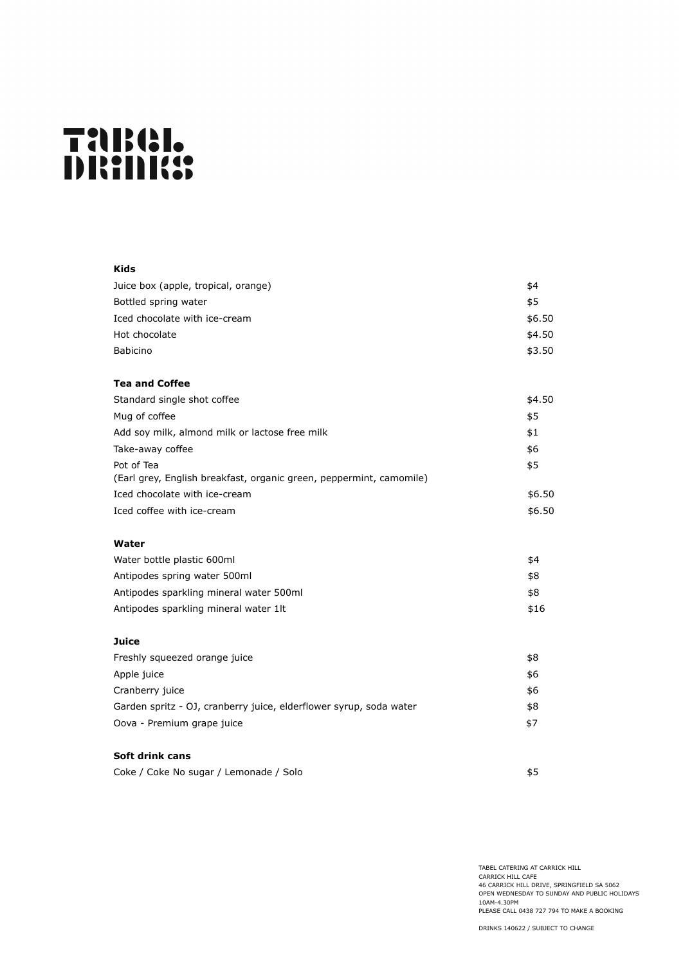# TaBel.<br>DRANKS

| Kids                                                                |        |
|---------------------------------------------------------------------|--------|
| Juice box (apple, tropical, orange)                                 | \$4    |
| Bottled spring water                                                | \$5    |
| Iced chocolate with ice-cream                                       | \$6.50 |
| Hot chocolate                                                       | \$4.50 |
| <b>Babicino</b>                                                     | \$3.50 |
| <b>Tea and Coffee</b>                                               |        |
| Standard single shot coffee                                         | \$4.50 |
| Mug of coffee                                                       | \$5    |
| Add soy milk, almond milk or lactose free milk                      | \$1    |
| Take-away coffee                                                    | \$6    |
| Pot of Tea                                                          | \$5    |
| (Earl grey, English breakfast, organic green, peppermint, camomile) |        |
| Iced chocolate with ice-cream                                       | \$6.50 |
| Iced coffee with ice-cream                                          | \$6.50 |
| Water                                                               |        |
| Water bottle plastic 600ml                                          | \$4    |
| Antipodes spring water 500ml                                        | \$8    |
| Antipodes sparkling mineral water 500ml                             | \$8    |
| Antipodes sparkling mineral water 1lt                               | \$16   |
| Juice                                                               |        |
| Freshly squeezed orange juice                                       | \$8    |
| Apple juice                                                         | \$6    |
| Cranberry juice                                                     | \$6    |
| Garden spritz - OJ, cranberry juice, elderflower syrup, soda water  | \$8    |
| Oova - Premium grape juice                                          | \$7    |
| Soft drink cans                                                     |        |
| Coke / Coke No sugar / Lemonade / Solo                              | \$5    |

TABEL CATERING AT CARRICK HILL CARRICK HILL CAFE 46 CARRICK HILL DRIVE, SPRINGFIELD SA 5062 OPEN WEDNESDAY TO SUNDAY AND PUBLIC HOLIDAYS 10AM-4.30PM PLEASE CALL 0438 727 794 TO MAKE A BOOKING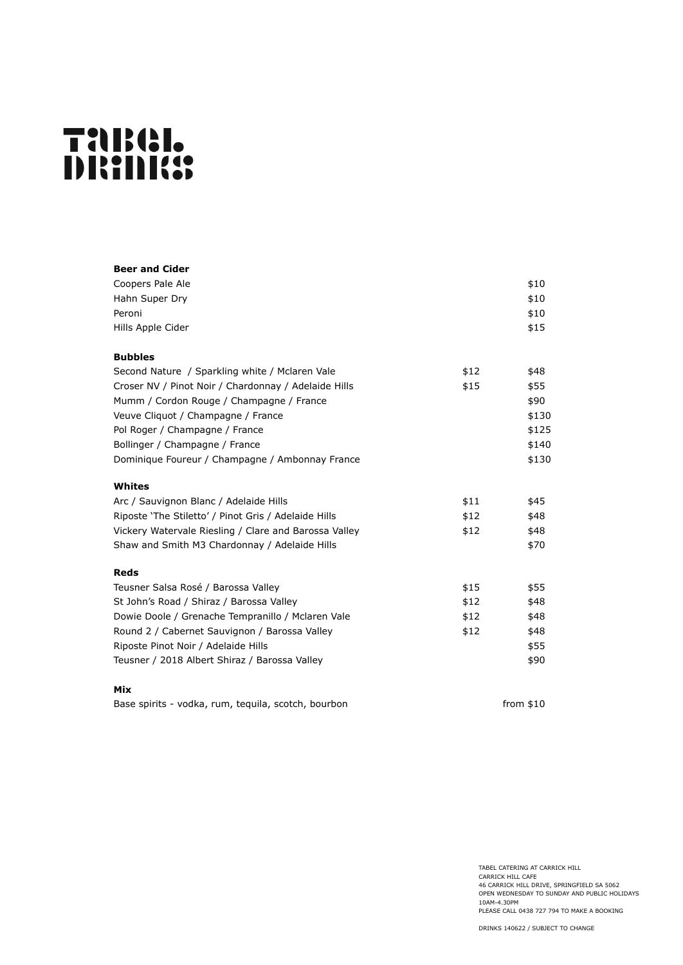# TaBel.<br>DRAMA:

| <b>Beer and Cider</b>                                 |      |       |
|-------------------------------------------------------|------|-------|
| Coopers Pale Ale                                      |      | \$10  |
| Hahn Super Dry                                        |      | \$10  |
| Peroni                                                |      | \$10  |
| Hills Apple Cider                                     |      | \$15  |
| <b>Bubbles</b>                                        |      |       |
| Second Nature / Sparkling white / Mclaren Vale        | \$12 | \$48  |
| Croser NV / Pinot Noir / Chardonnay / Adelaide Hills  | \$15 | \$55  |
| Mumm / Cordon Rouge / Champagne / France              |      | \$90  |
| Veuve Cliquot / Champagne / France                    |      | \$130 |
| Pol Roger / Champagne / France                        |      | \$125 |
| Bollinger / Champagne / France                        |      | \$140 |
| Dominique Foureur / Champagne / Ambonnay France       |      | \$130 |
| Whites                                                |      |       |
| Arc / Sauvignon Blanc / Adelaide Hills                | \$11 | \$45  |
| Riposte 'The Stiletto' / Pinot Gris / Adelaide Hills  | \$12 | \$48  |
| Vickery Watervale Riesling / Clare and Barossa Valley | \$12 | \$48  |
| Shaw and Smith M3 Chardonnay / Adelaide Hills         |      | \$70  |
| <b>Reds</b>                                           |      |       |
| Teusner Salsa Rosé / Barossa Valley                   | \$15 | \$55  |
| St John's Road / Shiraz / Barossa Valley              | \$12 | \$48  |
| Dowie Doole / Grenache Tempranillo / Mclaren Vale     | \$12 | \$48  |
| Round 2 / Cabernet Sauvignon / Barossa Valley         | \$12 | \$48  |
| Riposte Pinot Noir / Adelaide Hills                   |      | \$55  |
| Teusner / 2018 Albert Shiraz / Barossa Valley         |      | \$90  |
| Mix                                                   |      |       |

Base spirits - vodka, rum, tequila, scotch, bourbon from \$10

TABEL CATERING AT CARRICK HILL CARRICK HILL CAFE 46 CARRICK HILL DRIVE, SPRINGFIELD SA 5062 OPEN WEDNESDAY TO SUNDAY AND PUBLIC HOLIDAYS 10AM-4.30PM PLEASE CALL 0438 727 794 TO MAKE A BOOKING